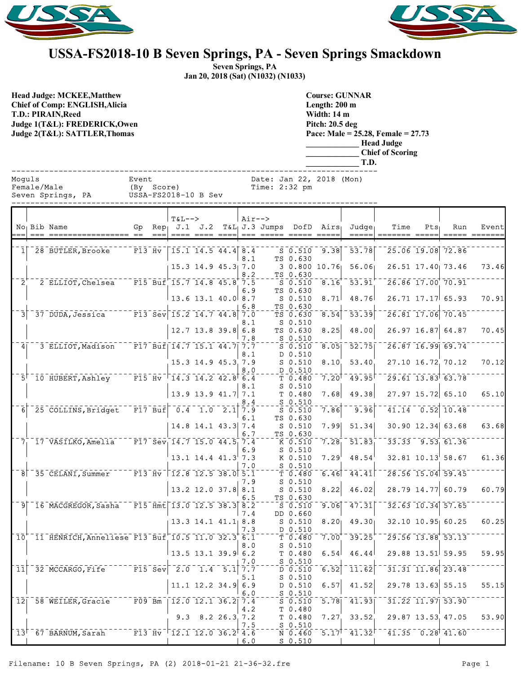



## **USSA-FS2018-10 B Seven Springs, PA - Seven Springs Smackdown**

**Seven Springs, PA Jan 20, 2018 (Sat) (N1032) (N1033)**

**Head Judge: MCKEE,Matthew Chief of Comp: ENGLISH,Alicia T.D.: PIRAIN,Reed Judge 1(T&L): FREDERICK,Owen Judge 2(T&L): SATTLER,Thomas** 

**Course: GUNNAR Length: 200 m Width: 14 m Pitch: 20.5 deg Pace: Male = 25.28, Female = 27.73 \_\_\_\_\_\_\_\_\_\_\_\_\_ Head Judge \_\_\_\_\_\_\_\_\_\_\_\_\_ Chief of Scoring**

|                                            |  |                                                        |                                                                                                                                                                                                                                                                                                                 |  |                                                       |                            |  |            |                                           |                                                            | CHILI VI BUJI HIG<br>T.D.                    |                                 |      |         |                                                                   |                        |  |  |  |
|--------------------------------------------|--|--------------------------------------------------------|-----------------------------------------------------------------------------------------------------------------------------------------------------------------------------------------------------------------------------------------------------------------------------------------------------------------|--|-------------------------------------------------------|----------------------------|--|------------|-------------------------------------------|------------------------------------------------------------|----------------------------------------------|---------------------------------|------|---------|-------------------------------------------------------------------|------------------------|--|--|--|
| Moquls<br>Female/Male<br>Seven Springs, PA |  |                                                        | Event                                                                                                                                                                                                                                                                                                           |  | (By Score)<br>USSA-FS2018-10 B Sev                    |                            |  |            | Date: Jan 22, 2018 (Mon)<br>Time: 2:32 pm |                                                            |                                              |                                 |      |         |                                                                   |                        |  |  |  |
|                                            |  | No <sub>l</sub> Bib Name                               | ===== == ===                                                                                                                                                                                                                                                                                                    |  | $T&L-->$                                              | ==== ==== ====             |  | $Air--$    | === ===== ===== =====                     |                                                            | Gp Rep $J.1$ $J.2$ T&L $J.3$ Jumps DofD Airs | Judge<br>$\qquad \qquad \doteq$ | Time | $Pts_1$ | Run                                                               | Event<br>===== ======= |  |  |  |
|                                            |  | 1 28 BUTLER, Brooke                                    |                                                                                                                                                                                                                                                                                                                 |  | $\overline{F13}$ $\overline{Hv}$   15.1 14.5 44.4 8.4 |                            |  | 8.1        |                                           | TS 0.630                                                   | S 0.510 9.38                                 | $-53.78$                        |      |         | 25.06 19.08 72.86                                                 |                        |  |  |  |
| $2^{\circ}$                                |  | 2 ELLIOT, Chelsea F15 Buf 15.7 14.8 45.8 7.5           |                                                                                                                                                                                                                                                                                                                 |  |                                                       | $15.3$ 14.9 $45.3$ 7.0     |  | 8.2        |                                           | TS 0.630<br>50.510                                         | $3\;\;0.800\;\;10.76$<br>8.16                | 56.06<br>53.91'                 |      |         | 26.51 17.40 73.46<br>$\sqrt{26.86}$ $\sqrt{17.00}$ $\sqrt{70.91}$ | 73.46                  |  |  |  |
|                                            |  |                                                        |                                                                                                                                                                                                                                                                                                                 |  |                                                       | $13.6$ $13.1$ $40.0$ $8.7$ |  | 6.9        |                                           | TS 0.630<br>$S_0.510$                                      | 8.71                                         | 48.76                           |      |         | $26.71$ 17.17 65.93                                               | 70.91                  |  |  |  |
| 31                                         |  | 37 DUDA, Jessica F13 Sev 15.2 14.7 44.8 7.0            |                                                                                                                                                                                                                                                                                                                 |  |                                                       |                            |  | 6.8<br>8.1 |                                           | TS 0.630<br>$TS - 6.630$<br>$S$ 0.510                      | 8.54                                         | $\overline{53.39}$              |      |         | $26.81$ $17.06$ $70.45$                                           |                        |  |  |  |
|                                            |  |                                                        |                                                                                                                                                                                                                                                                                                                 |  |                                                       | $12.7$ 13.8 39.8 6.8       |  | 7.8        |                                           | TS 0.630<br>$S_0.510$                                      | 8.25                                         | 48.00                           |      |         | $26.97$ 16.87 64.87                                               | 70.45                  |  |  |  |
| 4 <sub>1</sub>                             |  | 3 ELLIOT, Madison                                      |                                                                                                                                                                                                                                                                                                                 |  | $\overline{F17}$ Buf $\overline{14.7}$ 15.1 44.7 7.7  | 15.3 14.9 45.3 7.9         |  | 8.1        |                                           | $5 - 0.510$<br>D 0.510<br>$S$ 0.510                        | $\overline{8.05}$<br>8.10                    | 52.75<br>53.40                  |      |         | $26.87$ 16.99 69.74<br>27.10 16.72 70.12                          | 70.12                  |  |  |  |
|                                            |  | $5^{\dagger}$ 10 HUBERT, Ashley                        | $T = 15$ $\text{Hv}$ $\frac{1}{4}$ $\text{Hv}$ $\frac{1}{4}$ $\text{Hv}$ $\frac{1}{4}$ $\text{Hv}$ $\frac{1}{4}$ $\text{Hv}$ $\frac{1}{4}$ $\text{Hv}$ $\frac{1}{4}$ $\text{Hv}$ $\frac{1}{4}$ $\text{Hv}$ $\frac{1}{4}$ $\text{Hv}$ $\frac{1}{4}$ $\text{Hv}$ $\frac{1}{4}$ $\text{Hv}$ $\frac{1}{4}$ $\text{$ |  |                                                       |                            |  | 8.0<br>8.1 |                                           | D 0.510<br>T 0.480<br>$S_0.510$                            | 7.20                                         | 49.95                           |      |         | $29.61$ 13.83 63.78                                               |                        |  |  |  |
|                                            |  |                                                        |                                                                                                                                                                                                                                                                                                                 |  |                                                       | 13.9 13.9 41.7 7.1         |  | 8.4        |                                           | T 0.480<br>$S_0.510$                                       | 7.68                                         | 49.38                           |      |         | 27.97 15.72 65.10                                                 | 65.10                  |  |  |  |
| 6                                          |  | $-25$ COLLINS, Bridget $-F17$ Buf $-0.4$ 1.0 $2.1$ 7.9 |                                                                                                                                                                                                                                                                                                                 |  |                                                       | $14.8$ 14.1 43.3 7.4       |  | 6.1        |                                           | $\overline{S}$ $\overline{0.510}$<br>TS 0.630<br>$S_0.510$ | 7.86<br>7.99                                 | 9.96<br>51.34                   |      |         | $41.14 - 0.52$ 10.48<br>30.90 12.34 63.68                         | 63.68                  |  |  |  |
|                                            |  | $7_1$ 17 VASILKO, Amelia F17 Sev. 14.7 15.0 44.5, 7.4  |                                                                                                                                                                                                                                                                                                                 |  |                                                       |                            |  | 6.7        |                                           | TS 0.630<br>K 0.510                                        | 7.28                                         | 51.83                           |      |         | $33.33 - 9.53$ 61.36                                              |                        |  |  |  |
|                                            |  |                                                        |                                                                                                                                                                                                                                                                                                                 |  |                                                       | $13.1$ $14.4$ $41.3$ $7.3$ |  | 6.9<br>7.0 |                                           | $S$ 0.510<br>K 0.510<br>$S_0.510$                          | 7.29                                         | 48.54                           |      |         | $32.81$ $10.13$ <sup><math>\overline{58.67}</math></sup>          | 61.36                  |  |  |  |
|                                            |  | 8 35 CELANI, Summer                                    | $-$ F13 Hv $\mid$ 12.8 12.5 38.0 5.1                                                                                                                                                                                                                                                                            |  |                                                       | $13.2$ 12.0 37.8 8.1       |  | 7.9        |                                           | $\bar{T}$ 0.480<br>$S$ 0.510<br>$S$ 0.510                  | 6.46<br>8.22                                 | 44.41<br>46.02                  |      |         | 28.56 15.04 59.45<br>28.79 14.77 60.79                            | 60.79                  |  |  |  |
|                                            |  | 9 16 MACGREGOR, Sasha F15 Hmt 13.0 12.5 38.3 8.2       |                                                                                                                                                                                                                                                                                                                 |  |                                                       |                            |  | 6.5        |                                           | TS 0.630<br>$S$ 0.510                                      | 9.06                                         | 47.31                           |      |         | 32.63 10.34 57.65                                                 |                        |  |  |  |
|                                            |  |                                                        |                                                                                                                                                                                                                                                                                                                 |  |                                                       | $13.3$ 14.1 $41.1$ 8.8     |  | 7.4<br>7.3 |                                           | DD 0.660<br>$S$ 0.510<br>D 0.510                           | 8.20 <sub>1</sub>                            | 49.30                           |      |         | 32.10 10.95 60.25                                                 | 60.25                  |  |  |  |
|                                            |  | 10 11 HENRICH, Anneliese F13 Buf 10.5 11.0 32.3 6.1    |                                                                                                                                                                                                                                                                                                                 |  |                                                       |                            |  | 8.0        |                                           | T 0.480<br>$S_0.510$                                       | 7.00                                         | 39.25                           |      |         | $29.56$ $13.88$ $53.13$                                           |                        |  |  |  |
| 11                                         |  | $32$ MCCARGO, Fife $15$ F15 Sev $2.0$ 1.4 5.1 7.7      |                                                                                                                                                                                                                                                                                                                 |  |                                                       | $13.5$ 13.1 39.9 6.2       |  | 7.0        |                                           | T 0.480<br>$-50.510$<br>ัธ <sup>-</sup> ธ์.ร์1์ธ์          | 6.54<br>6.52                                 | 46.44<br>11.62                  |      |         | 29.88 13.51 59.95<br>$31.31$ $11.86$ $23.48$                      | 59.95                  |  |  |  |
|                                            |  |                                                        |                                                                                                                                                                                                                                                                                                                 |  |                                                       | $11.1$ 12.2 34.9 6.9       |  | 5.1<br>6 N |                                           | $S_0.510$<br>D 0.510<br>S 0 510                            | 6.57                                         | 41.52                           |      |         | 29.78 13.63 55.15                                                 | 55.15                  |  |  |  |

 $\overline{12.0}$   $\overline{12.1}$   $\overline{36.2}$   $\overline{7.4}$   $\overline{9.5}$   $\overline{0.510}$ 12 58 WEILER, Gracie  $\begin{bmatrix} 12.0 & 12.1 & 36.2 & 7.4 & -18 & 5.76 & 5.78 \\ 4.2 & 7 & 0.480 & 4.3 & 5.2 \end{bmatrix}$  731.22 11.97 53.90 9.3 8.2 26.3, 7.2 T 0.480

13<sup> $+$ </sup> 67 BARNUM, Sarah  $-$  F13 Hv  $+$   $12.1$  12.0 36.2  $\frac{1}{4.6}$   $\frac{1}{8}$   $\frac{1}{6.2}$   $\frac{1}{460}$   $5.17$  $\frac{1}{41.32}$  $\frac{1}{41.35}$   $0.28$   $\frac{1}{41.60}$ <br> $+$   $\frac{1}{16.0}$   $\frac{1}{5.0}$   $\frac$ 

 $\frac{7.5}{4.6}$  - - - -  $\frac{5}{N}$   $\frac{0.510}{0.460}$ 

6.0 S 0.510

 $7.27$  33.52 29.87 13.53 47.05 53.90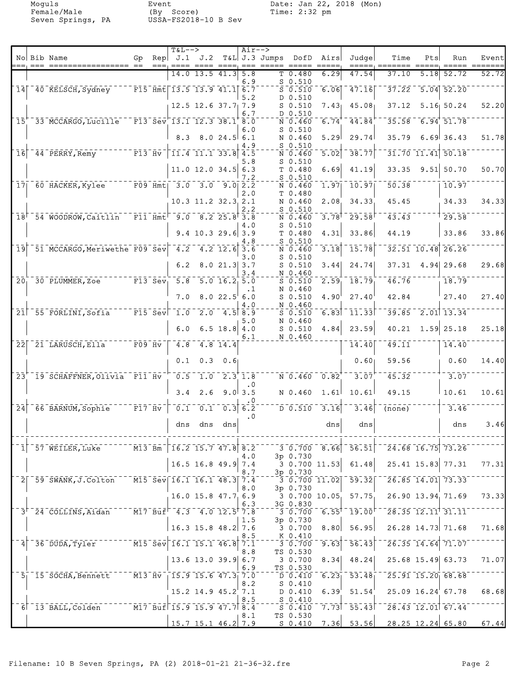Female/Male (By Score) Time: 2:32 pm Seven Springs, PA USSA-FS2018-10 B Sev

Moguls Event Date: Jan 22, 2018 (Mon)

|                 |                                                   |                                   |      | <b>T&amp;L--&gt;</b>                                                                                                 |                                                                        |                                                     | $Air--$          |               |                                        |                                |                                                           |                                        |      |                                              |       |
|-----------------|---------------------------------------------------|-----------------------------------|------|----------------------------------------------------------------------------------------------------------------------|------------------------------------------------------------------------|-----------------------------------------------------|------------------|---------------|----------------------------------------|--------------------------------|-----------------------------------------------------------|----------------------------------------|------|----------------------------------------------|-------|
|                 | No Bib Name                                       | Gp                                | $==$ | Rep $J.1$ $J.2$                                                                                                      | $=$ === ==== ====                                                      |                                                     |                  | T&L J.3 Jumps | DofD                                   | Airs<br>$= = = = =$            | Judge                                                     | Time<br>=====, =======                 | Pts  | Run                                          | Event |
|                 |                                                   |                                   |      |                                                                                                                      | $14.0$ 13.5 $41.3$                                                     |                                                     | 5.8              |               | T <sub>0.480</sub>                     | 6.29                           | 47.54                                                     | 37.10                                  | 5.18 | 52.72                                        | 52.72 |
| 14              | 40 KELSCH, Sydney                                 |                                   |      | $\overline{F15}$ Hmt 13.5 13.9 41.1 6.7                                                                              |                                                                        |                                                     | 6.9              |               | $S$ 0.510<br>$S = 0.510$               | 6.06                           | $-47.16$                                                  | 37.22                                  |      | $5.04$ $52.20$                               |       |
|                 |                                                   |                                   |      |                                                                                                                      | $12.5$ $12.6$ $37.7$ , $7.9$                                           |                                                     | 5.2              |               | $D$ 0.510<br>$S$ 0.510                 |                                | $7.43$ $45.08$                                            | 37.12                                  |      | $5.16$ $50.24$                               | 52.20 |
| $\overline{15}$ | 33 MCCARGO, Lucille                               |                                   |      | $F13$ Sev 13.1 12.3 38.1 8.0                                                                                         |                                                                        |                                                     | 6.7              |               | D 0.510<br>N 0.460                     | 6.74                           | 44.84                                                     | 35.58                                  |      | $-6.94$ 51.78                                |       |
|                 |                                                   |                                   |      | 8.3                                                                                                                  |                                                                        | 8.024.56.1                                          | 6.0              |               | $S$ 0.510<br>N 0.460                   | 5.29                           | 29.74                                                     | 35.79                                  |      | $6.69$ 36.43                                 | 51.78 |
| 16              | 44 PERRY, Remy                                    | $ \overline{F13}$ $\overline{Hv}$ |      |                                                                                                                      | $\overline{11.4}$ $\overline{11.1}$ $\overline{33.8}$ $\overline{4.5}$ |                                                     | 4.9              |               | $S_0.510$<br>N 0.460                   | 5.02                           | 38.77                                                     |                                        |      | 31.70 11.41 50.18                            |       |
|                 |                                                   |                                   |      |                                                                                                                      | 11.0 12.0 34.5 6.3                                                     |                                                     | 5.8              |               | $S$ 0.510<br>T 0.480                   | 6.69                           | 41.19                                                     | 33.35                                  |      | $9.51$ 50.70                                 | 50.70 |
| 17 <sub>1</sub> | $\overline{60}$ HACKER, Kylee                     |                                   |      | $F09$ $Hmt$ 3.0 3.0 9.0 2.2                                                                                          |                                                                        |                                                     | 7.2              |               | $S$ 0.510                              | 1.97                           | $\overline{10.97}$                                        | 50.38                                  |      | 10.97                                        |       |
|                 |                                                   |                                   |      |                                                                                                                      |                                                                        |                                                     | 2.0              |               | N 0.460<br>T 0.480                     |                                |                                                           |                                        |      |                                              |       |
|                 |                                                   |                                   |      |                                                                                                                      | 10.3 11.2 32.3 2.1                                                     |                                                     | 2.2              |               | N 0.460<br>$S$ 0.510                   | 2.08                           | 34.33                                                     | 45.45                                  |      | 34.33                                        | 34.33 |
|                 | $18$ <sup><math>-54</math></sup> WOODROW, Caitlin |                                   |      | $^{-}$ F11 $\bar{H}$ mt $^{-}$ 9.0 $^{-}$ 8.2 25.8 $^{\dagger}$ 3.8                                                  |                                                                        |                                                     | 4.0              |               | N 0.460<br>$S$ 0.510                   | $\overline{3.78}$ <sup>T</sup> | $\bar{29.58}$                                             | $\overline{43.43}$                     |      | 29.58                                        |       |
|                 |                                                   |                                   |      |                                                                                                                      | $9.4$ 10.3 29.6 3.9                                                    |                                                     | 4.8              |               | T 0.480<br>$S$ 0.510                   | 4.31                           | 33.86                                                     | 44.19                                  |      | 33.86                                        | 33.86 |
| $\overline{19}$ | 51 MCCARGO, Meriwethe F09 Sev 4.2                 |                                   |      |                                                                                                                      | $-4.2$ 12.6 3.6                                                        |                                                     | 3.0              |               | N 0.460                                | 3.18                           | $\overline{15.78}$                                        |                                        |      | 32.51 10.48 26.26                            |       |
|                 |                                                   |                                   |      | 6.2                                                                                                                  |                                                                        | $8.0$ 21.3 3.7                                      |                  |               | $S_0.510$<br>$S$ 0.510                 |                                | $3.44$ 24.74                                              |                                        |      | $37.31$ 4.94 29.68                           | 29.68 |
| $\overline{20}$ | 30 PLUMMER, Zoe                                   |                                   |      | $\overline{F13}$ Sev, 5.8                                                                                            |                                                                        | $\overline{5.0}$ $\overline{16.2}$ $\overline{5.0}$ | 3.4              |               | N 0.460<br>$S$ 0.510                   | 2.59                           | 18.79                                                     | 46.76                                  |      | 18.79                                        |       |
|                 |                                                   |                                   |      | 7.0                                                                                                                  |                                                                        | 8.022.5                                             | .1<br>6.0        |               | N 0.460<br>$S$ 0.510                   | 4.90                           | 27.40                                                     | 42.84                                  |      | 27.40                                        | 27.40 |
| 21              | 55 FORLINI, Sofia                                 |                                   |      | $ \bar{F}15$ Sev $1.0$                                                                                               |                                                                        | $2.0$ $4.5$ $8.9$                                   | 4.0              |               | N 0.460<br>$S$ 0.510                   |                                | $6.83$ $11.33$                                            | 39.85                                  |      | $\overline{2.01}$ 13.34                      |       |
|                 |                                                   |                                   |      | 6.0                                                                                                                  |                                                                        | $6.5$ 18.8 4.0                                      | 5.0              |               | N 0.460<br>$S$ 0.510                   | 4.84                           | 23.59                                                     | 40.21                                  |      | $1.59$ 25.18                                 | 25.18 |
| 22              | 21 LARUSCH, Ella                                  | $\overline{F09}$ $\overline{Hv}$  |      | 4.8                                                                                                                  |                                                                        | $4.8 \; 14.4$                                       | 6.1              |               | N 0.460                                |                                | 14.40                                                     | 49.11                                  |      | 14.40                                        |       |
|                 |                                                   |                                   |      | 0.1                                                                                                                  | $0.3 -$                                                                | 0.6                                                 |                  |               |                                        |                                | 0.60                                                      | 59.56                                  |      | 0.60                                         | 14.40 |
| $\overline{23}$ | 19 SCHAFFNER, Olivia F11 Hv                       |                                   |      | $\overline{0.5}$                                                                                                     |                                                                        | $1.0$ $2.3$ $1.8$                                   |                  |               |                                        | $N$ 0.460 $0.82$               | 3.07                                                      | 45.32                                  |      | 3.07                                         |       |
|                 |                                                   |                                   |      | 3.4                                                                                                                  | 2.6                                                                    |                                                     | . 0<br>$9.0$ 3.5 |               | N 0.460                                | 1.61                           | 10.61                                                     | 49.15                                  |      | 10.61                                        | 10.61 |
| $\overline{24}$ | 66 BARNUM, Sophie                                 | $\overline{F17}$ $\overline{Hv}$  |      | $\bar{\mathfrak{o}}$ . $\bar{\mathfrak{1}}$                                                                          | $\overline{0.1}$                                                       |                                                     | 0.36.2           |               | $\bar{D}$ $\bar{0}$ $\bar{.}5\bar{10}$ | 3.16                           | 3.46                                                      | $\overline{(\text{none})}$             |      | 3.46                                         |       |
|                 |                                                   |                                   |      | dns                                                                                                                  | dns                                                                    | dns                                                 | $\cdot$ 0        |               |                                        | dns                            | dns                                                       |                                        |      | dns                                          | 3.46  |
|                 |                                                   |                                   |      |                                                                                                                      |                                                                        |                                                     |                  |               |                                        |                                |                                                           |                                        |      |                                              |       |
|                 | $-57$ WEILER, Luke $-16.2$ 15.7 47.8 8.2          |                                   |      |                                                                                                                      |                                                                        |                                                     | 4.0              |               | 3p 0.730                               |                                | $-3.0.700 - 8.66 - 56.51$                                 |                                        |      | $\sqrt{24.68}$ 16.75 73.26                   |       |
|                 |                                                   |                                   |      |                                                                                                                      | $16.5$ 16.8 49.9 7.4                                                   |                                                     | 8.7              |               | 3p 0.730                               |                                | $3$ 0.700 11.53 61.48                                     |                                        |      | 25.41 15.83 77.31                            | 77.31 |
| 2 <sup>1</sup>  | 59 SWANK, J.Colton                                |                                   |      | $\sqrt{M15}$ Sev 16.1 16.1 48.3 7.4                                                                                  |                                                                        |                                                     | 8.0              |               | 3p 0.730                               |                                | $30.70011.02$ $59.32$                                     |                                        |      | $\sqrt{26.85}$ 14.01 73.33                   |       |
|                 |                                                   |                                   |      |                                                                                                                      | $16.0$ 15.8 47.7 6.9                                                   |                                                     | 6.3              |               | 3G 0.830                               | 3 0.700 10.05                  | 57.75                                                     |                                        |      | 26.90 13.94 71.69                            | 73.33 |
|                 | 3 <sup>r-24</sup> COLLINS, Aidan <sup>-1</sup>    |                                   |      | $-$ M17 Buf $-4.3$ $-4.0$ 12.5 7.8                                                                                   |                                                                        |                                                     |                  |               |                                        |                                | $^{-1}$ 3 $^{-}$ 0.700 $^{-}$ 6.55 $^+$ $^{-}$ 19.00 $^+$ |                                        |      | $\sqrt{28.35}$ $\sqrt{12.11}$ $\sqrt{31.11}$ |       |
|                 |                                                   |                                   |      |                                                                                                                      | $16.3$ 15.8 48.2 7.6                                                   |                                                     | 1.5              |               | 3p 0.730<br>3 0.700                    | 8.80                           | 56.95                                                     |                                        |      | 26.28 14.73 71.68                            | 71.68 |
|                 | $\overline{36}$ $\overline{D}$ UDA, Tyler $^{-1}$ |                                   |      | $\sqrt{15.5}$ $\overline{\text{sev}}$ $\sqrt{16.1}$ $\overline{15.1}$ $\overline{46.8}$ $\sqrt{7.1}$                 |                                                                        |                                                     | 8.5              |               | K 0.410<br>$-3 - 0.700$                |                                | $\overline{9.63}$ <sup>-</sup> 56.43                      |                                        |      | $26.35$ $14.64$ $71.07$                      |       |
|                 |                                                   |                                   |      |                                                                                                                      | $13.6$ 13.0 39.9 6.7                                                   |                                                     | 8.8              |               | TS 0.530<br>3 0.700                    | 8.34                           | 48.24                                                     |                                        |      | 25.68 15.49 63.73                            | 71.07 |
|                 | $5 - 15$ SOCHA, Bennett                           |                                   |      | $\overline{113}$ $\overline{Hv}$ $\overline{15.9}$ 15.6 47.3 7.0                                                     |                                                                        |                                                     | 6.9              |               | TS 0.530                               |                                | $\overline{D}$ 0.410 6.23 53.48                           |                                        |      | $\sqrt{25.91}$ $\sqrt{15.20}$ $\sqrt{68.68}$ |       |
|                 |                                                   |                                   |      |                                                                                                                      | $15.2$ 14.9 $45.2$ 7.1                                                 |                                                     | 8.2              |               | $S_0.410$<br>D 0.410                   |                                | $6.39^{+}$ 51.54                                          |                                        |      | $25.09$ $16.24$ 67.78                        | 68.68 |
|                 | 6 13 BALL, Colden                                 |                                   |      | $ \overline{M17}$ $\overline{B}u\overline{f}$ $\overline{15.9}$ $\overline{15.9}$ $\overline{47.7}$ $\overline{8.4}$ |                                                                        |                                                     | 8.5              |               | $5 - 0.410$                            |                                | $-5.410 - 7.73$ $-55.43$                                  |                                        |      | $\sqrt{28.43}$ $\sqrt{12.01}$ 67.44          |       |
|                 |                                                   |                                   |      |                                                                                                                      | $15.7$ 15.1 46.2 7.9                                                   |                                                     | 8.1              |               | TS 0.530                               |                                |                                                           | $S$ 0.410 7.36 53.56 28.25 12.24 65.80 |      |                                              | 67.44 |
|                 |                                                   |                                   |      |                                                                                                                      |                                                                        |                                                     |                  |               |                                        |                                |                                                           |                                        |      |                                              |       |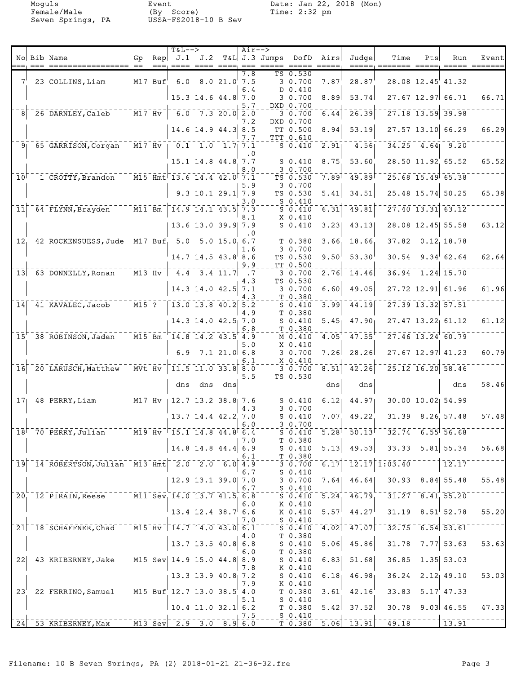Seven Springs, PA

Event<br>(By Score)<br>USSA-FS2018-10 B Sev

Moguls Event Date: Jan 22, 2018 (Mon)<br>Female/Male (By Score) Time: 2:32 pm

|                 |                                                                                                   |                                                                                                |           | $T&L-->$                                              |                                                                        |                | $Air--$           |                 |                                                                                                  |                         |                                                                            |                                                                                                                                                                                                                                        |     |                                                          |       |
|-----------------|---------------------------------------------------------------------------------------------------|------------------------------------------------------------------------------------------------|-----------|-------------------------------------------------------|------------------------------------------------------------------------|----------------|-------------------|-----------------|--------------------------------------------------------------------------------------------------|-------------------------|----------------------------------------------------------------------------|----------------------------------------------------------------------------------------------------------------------------------------------------------------------------------------------------------------------------------------|-----|----------------------------------------------------------|-------|
|                 | No Bib Name                                                                                       | Gp                                                                                             | Rep       |                                                       | J.1 J.2                                                                |                | $== =$            | $T&L$ J.3 Jumps | DofD                                                                                             | Airs<br>$=$ $=$ $=$ $=$ | Judge<br>=====                                                             | Time                                                                                                                                                                                                                                   | Pts | Run                                                      | Event |
|                 |                                                                                                   |                                                                                                |           |                                                       |                                                                        |                | $\overline{7.8}$  |                 | TS 0.530                                                                                         |                         |                                                                            |                                                                                                                                                                                                                                        |     |                                                          |       |
|                 | 7 23 COLLINS, Liam                                                                                |                                                                                                | $M17$ Buf |                                                       | $\overline{6.0}$ $\overline{8.0}$ $\overline{21.0}$ $\overline{7.5}$   |                |                   |                 | $3\overline{0.700}$                                                                              | $7.87$ <sup>+</sup>     | 28.87                                                                      |                                                                                                                                                                                                                                        |     | $\overline{28.08}$ $\overline{12.45}$ $\overline{41.32}$ |       |
|                 |                                                                                                   |                                                                                                |           |                                                       | 15.3 14.6 44.8 7.0                                                     |                | 6.4               |                 | $D$ 0.410<br>3 0.700                                                                             | 8.89                    | 53.74                                                                      |                                                                                                                                                                                                                                        |     | 27.67 12.97 66.71                                        | 66.71 |
|                 |                                                                                                   |                                                                                                |           |                                                       |                                                                        |                | 5.7               |                 | DXD 0.700                                                                                        |                         |                                                                            |                                                                                                                                                                                                                                        |     |                                                          |       |
| 8               | 26 DARNLEY, Caleb                                                                                 | $^{-}$ $\bar{\texttt{M}}\bar{\texttt{1}}\bar{\texttt{7}}$ $\bar{\texttt{H}}\bar{\texttt{v}}$ . |           |                                                       | $6.0 - 7.3 - 20.0$ 2.0                                                 |                |                   |                 | $3 - 0.700$                                                                                      | 6.44                    | 26.39                                                                      |                                                                                                                                                                                                                                        |     | 27.18 13.59 39.98                                        |       |
|                 |                                                                                                   |                                                                                                |           |                                                       | $14.6$ 14.9 44.3 8.5                                                   |                | 7.2               |                 | DXD 0.700<br>TT 0.500                                                                            | 8.94                    | 53.19                                                                      |                                                                                                                                                                                                                                        |     | 27.57 13.10 66.29                                        | 66.29 |
|                 |                                                                                                   |                                                                                                |           |                                                       |                                                                        |                | 7.7               |                 | TTT 0.610                                                                                        |                         |                                                                            |                                                                                                                                                                                                                                        |     |                                                          |       |
|                 | 9 65 GARRISON, Corgan                                                                             |                                                                                                |           | $\overline{M17}$ Hv $\overline{0.1}$ 1.0 1.7 7.1      |                                                                        |                | . 0               |                 | $S_0.410$                                                                                        | $\overline{2.91}$       | 4.56                                                                       |                                                                                                                                                                                                                                        |     | $34.25$ 4.64 9.20                                        |       |
|                 |                                                                                                   |                                                                                                |           |                                                       | 15.1 14.8 44.8 7.7                                                     |                |                   |                 | $S_0.410$                                                                                        | 8.75                    | 53.60                                                                      |                                                                                                                                                                                                                                        |     | 28.50 11.92 65.52                                        | 65.52 |
|                 |                                                                                                   |                                                                                                |           |                                                       |                                                                        |                | 8.0               |                 | 30.700                                                                                           |                         |                                                                            |                                                                                                                                                                                                                                        |     |                                                          |       |
| 10 <sup>1</sup> | 1 CROTTY, Brandon                                                                                 |                                                                                                |           | $\overline{M15}$ $\overline{Hm}$ t 13.6 14.4 42.0 7.1 |                                                                        |                | 5.9               |                 | TS 0.530<br>3 0.700                                                                              | $\overline{7.89}$       | 49.89                                                                      |                                                                                                                                                                                                                                        |     | $25.68$ 15.49 65.38                                      |       |
|                 |                                                                                                   |                                                                                                |           |                                                       | $9.3$ 10.1 29.1 7.9                                                    |                |                   |                 | TS 0.530                                                                                         | 5.41                    | 34.51                                                                      |                                                                                                                                                                                                                                        |     | 25.48 15.74 50.25                                        | 65.38 |
|                 |                                                                                                   |                                                                                                |           |                                                       |                                                                        |                | 3.0               |                 | $S_0.410$                                                                                        |                         |                                                                            |                                                                                                                                                                                                                                        |     |                                                          |       |
| 11              | $-64$ FLYNN, Brayden $-$                                                                          | $\overline{M11}$ $\overline{Bm}$                                                               |           |                                                       | $14.9$ $14.1$ $43.5$ $7.3$                                             |                | 8.1               |                 | $S_0.410$<br>$X_0.410$                                                                           | 6.31                    | 49.81                                                                      |                                                                                                                                                                                                                                        |     | 27.40 13.31 63.12                                        |       |
|                 |                                                                                                   |                                                                                                |           |                                                       | 13.6 13.0 39.9 7.9                                                     |                |                   |                 | $S_0.410$                                                                                        | 3.23                    | 43.13                                                                      |                                                                                                                                                                                                                                        |     | 28.08 12.45 55.58                                        | 63.12 |
|                 |                                                                                                   |                                                                                                |           |                                                       |                                                                        |                | . 0               |                 |                                                                                                  |                         |                                                                            |                                                                                                                                                                                                                                        |     |                                                          |       |
| 12 <sub>1</sub> | 42 ROCKENSUESS, Jude M17 Buf, 5.0 5.0 15.0 6.7                                                    |                                                                                                |           |                                                       |                                                                        |                | 1.6               |                 | T 0.380<br>3 0.700                                                                               | 3.66                    | 18.66                                                                      |                                                                                                                                                                                                                                        |     | $37.82 - 0.12, 18.78$                                    |       |
|                 |                                                                                                   |                                                                                                |           |                                                       | $14.7$ 14.5 $43.8$ 8.6                                                 |                |                   |                 | TS 0.530                                                                                         | 9.50                    | 53.30                                                                      | 30.54                                                                                                                                                                                                                                  |     | $9.34^{+}62.64$                                          | 62.64 |
|                 | $13$ $63$ DONNELLY, Ronan                                                                         |                                                                                                | $M13$ Hv  |                                                       | $-4.4 - 3.4$ 11.7                                                      |                | 9.9<br>$\cdot$ .7 |                 | TT 0.500<br>30.700                                                                               | 2.76                    | 14.46                                                                      |                                                                                                                                                                                                                                        |     | $36.94 - 1.24$ 15.70                                     |       |
|                 |                                                                                                   |                                                                                                |           |                                                       |                                                                        |                | 4.3               |                 | TS 0.530                                                                                         |                         |                                                                            |                                                                                                                                                                                                                                        |     |                                                          |       |
|                 |                                                                                                   |                                                                                                |           |                                                       | $14.3$ 14.0 42.5                                                       |                | 7.1               |                 | 30.700                                                                                           | 6.60                    | 49.05                                                                      |                                                                                                                                                                                                                                        |     | 27.72 12.91 61.96                                        | 61.96 |
| 14              | $-41$ KAVALEC, Jacob                                                                              | $\overline{M15}$ ?                                                                             |           |                                                       | 13.0 13.8 40.2 5.2                                                     |                | 4.3               |                 | T 0.380<br>$S$ 0.410                                                                             | 3.99                    | 44.19                                                                      |                                                                                                                                                                                                                                        |     | 27.39 13.32 57.51                                        |       |
|                 |                                                                                                   |                                                                                                |           |                                                       |                                                                        |                | 4.9               |                 | T 0.380                                                                                          |                         |                                                                            |                                                                                                                                                                                                                                        |     |                                                          |       |
|                 |                                                                                                   |                                                                                                |           |                                                       | $14.3$ 14.0 $42.5$ , 7.0                                               |                |                   |                 | $S_0.410$                                                                                        | 5.45                    | 47.90 <sub>1</sub>                                                         |                                                                                                                                                                                                                                        |     | $27.47$ $13.22$ 61.12                                    | 61.12 |
|                 | 15 38 ROBINSON, Jaden                                                                             | $\overline{M15}$ Bm                                                                            |           |                                                       | 14.8 14.2 43.5 4.9                                                     |                | 6.8               |                 | T 0.380<br>M 0.410                                                                               | 4.05                    | 47.55                                                                      |                                                                                                                                                                                                                                        |     | $27.46$ $13.24$ 60.79                                    |       |
|                 |                                                                                                   |                                                                                                |           |                                                       |                                                                        |                | 5.0               |                 | X 0.410                                                                                          |                         |                                                                            |                                                                                                                                                                                                                                        |     |                                                          |       |
|                 |                                                                                                   |                                                                                                |           | 6.9                                                   |                                                                        | $7.1$ 21.0 6.8 | 6.1               |                 | 3 0.700<br>X 0.410                                                                               | 7.26                    | 28.26                                                                      |                                                                                                                                                                                                                                        |     | 27.67 12.97 41.23                                        | 60.79 |
| 16              | 20 LARUSCH, Matthew                                                                               | $\overline{M}V\overline{t}$ $\overline{H}V$                                                    |           |                                                       | $11.5$ $11.0$ $33.8$ $8.0$                                             |                |                   |                 | 30.700                                                                                           | 8.51                    | 42.26                                                                      |                                                                                                                                                                                                                                        |     | 25.12 16.20 58.46                                        |       |
|                 |                                                                                                   |                                                                                                |           |                                                       |                                                                        |                | 5.5               |                 | TS 0.530                                                                                         |                         |                                                                            |                                                                                                                                                                                                                                        |     |                                                          |       |
|                 |                                                                                                   |                                                                                                |           | dns                                                   |                                                                        | dns dns        |                   |                 |                                                                                                  | dns                     | dns                                                                        |                                                                                                                                                                                                                                        |     | dns                                                      | 58.46 |
|                 | $17^-$ 48 PERRY, Liam $17^-$ M17 Hv                                                               |                                                                                                |           |                                                       | $\overline{12.7}$ $\overline{13.2}$ $\overline{38.8}$ $\overline{7.6}$ |                |                   |                 | $S = 0.410$                                                                                      | $\overline{6.12}$       | 14.97                                                                      |                                                                                                                                                                                                                                        |     | $30.00$ $10.02$ $54.99$                                  |       |
|                 |                                                                                                   |                                                                                                |           |                                                       | 13.7 14.4 42.2 7.0                                                     |                | 4.3               |                 | 3 0.700<br>$S$ 0.410                                                                             | 7.07                    | 49.22                                                                      |                                                                                                                                                                                                                                        |     | 31.39 8.26 57.48                                         | 57.48 |
|                 |                                                                                                   |                                                                                                |           |                                                       |                                                                        |                | 6.0               |                 | 3 0.700                                                                                          |                         |                                                                            |                                                                                                                                                                                                                                        |     |                                                          |       |
|                 | 18 70 PERRY, Julian M19 Hv 15.1 14.8 44.8 6.4                                                     |                                                                                                |           |                                                       |                                                                        |                |                   |                 |                                                                                                  |                         |                                                                            | $5\overline{0.410}$ $5.28$ <sup>†</sup> $50.13$ <sup>† - 32.74 6.55 56.68</sup>                                                                                                                                                        |     |                                                          |       |
|                 |                                                                                                   |                                                                                                |           |                                                       | $14.8$ 14.8 44.4 6.9                                                   |                | 7.0               |                 | $T$ 0.380<br>$S_0.410$                                                                           | 5.13                    |                                                                            | $49.53$ 33.33 5.81 55.34                                                                                                                                                                                                               |     |                                                          | 56.68 |
|                 |                                                                                                   |                                                                                                |           |                                                       |                                                                        |                | 6.1               |                 | T 0.380                                                                                          |                         |                                                                            |                                                                                                                                                                                                                                        |     |                                                          |       |
|                 | $19$ <sup>-14</sup> ROBERTSON, Julian M13 Hmt <sup>-2.0</sup> 2.0 6.0 4.9                         |                                                                                                |           |                                                       |                                                                        |                |                   |                 |                                                                                                  |                         |                                                                            | $\left[3\,\, \overline{0}\,\overline{.700}\,\, \overline{6}\,\overline{.17}\right]$ $\left[1\,\overline{2}\,\overline{.17}\right]$ $\left[1\,\overline{.03}\,\overline{.40}\,\, \overline{)}$ $\left[1\,\, \overline{.17}\,\, \right]$ |     | 12.17                                                    |       |
|                 |                                                                                                   |                                                                                                |           |                                                       | 12.9 13.1 39.0 7.0                                                     |                | 6.7               |                 | $S_0.410$<br>3 0.700                                                                             | 7.64                    | 46.64                                                                      |                                                                                                                                                                                                                                        |     | 30.93 8.84 55.48                                         | 55.48 |
|                 |                                                                                                   |                                                                                                |           |                                                       |                                                                        |                | 6.7               |                 | $S_0.410$                                                                                        |                         |                                                                            |                                                                                                                                                                                                                                        |     |                                                          |       |
|                 | 20 <sup>-</sup> 12 PIRAIN, Reese M11 Sev 14.0 13.7 41.5 6.8                                       |                                                                                                |           |                                                       |                                                                        |                | 6.0               |                 | K 0.410                                                                                          |                         | $5.24$ $46.79$                                                             |                                                                                                                                                                                                                                        |     | $31.27 - 8.41$ , 55.20                                   |       |
|                 |                                                                                                   |                                                                                                |           |                                                       | $13.4$ 12.4 38.7 6.6                                                   |                |                   |                 | K 0.410                                                                                          | 5.57                    | 44.27                                                                      |                                                                                                                                                                                                                                        |     | $31.19$ $8.51$ $52.78$                                   | 55.20 |
|                 |                                                                                                   |                                                                                                |           |                                                       |                                                                        |                | 7.0               |                 | $S_0.410$                                                                                        |                         |                                                                            |                                                                                                                                                                                                                                        |     |                                                          |       |
|                 | 21 18 SCHAFFNER, Chad M15 Hv 14.7 14.0 43.0 6.1                                                   |                                                                                                |           |                                                       |                                                                        |                | 4.0               |                 | $\overline{S}$ $\overline{0.410}$ $\overline{0.410}$<br>T 0.380                                  |                         | $\overline{4.02}$ $\overline{47.07}$ $\overline{7}$                        |                                                                                                                                                                                                                                        |     | $32.75 - 6.54$ 53.61                                     |       |
|                 |                                                                                                   |                                                                                                |           |                                                       | $13.7$ 13.5 40.8 6.8                                                   |                |                   |                 | S 0.410                                                                                          | 5.06                    | 45.86                                                                      |                                                                                                                                                                                                                                        |     | $31.78$ 7.77 53.63                                       | 53.63 |
|                 | 22 43 KRIBERNEY, Jake M15 Sev 14.9 15.0 44.8 8.9                                                  |                                                                                                |           |                                                       |                                                                        |                | 6.0               |                 | $T_{-}$ $T_{-}$ 0.380                                                                            |                         | $50.410 - 6.83$ $51.68$                                                    |                                                                                                                                                                                                                                        |     | $-36.85 - 1.35$ 53.03                                    |       |
|                 |                                                                                                   |                                                                                                |           |                                                       |                                                                        |                | 7.8               |                 | K 0.410                                                                                          |                         |                                                                            |                                                                                                                                                                                                                                        |     |                                                          |       |
|                 |                                                                                                   |                                                                                                |           |                                                       | 13.3 13.9 40.8 7.2                                                     |                |                   |                 | S <sub>0.410</sub>                                                                               |                         | $6.181$ 46.98                                                              |                                                                                                                                                                                                                                        |     | $36.24$ $2.12$ $49.10$                                   | 53.03 |
|                 | $23+$ 22 FERRINO, Samuel M15 Buf 12.7 13.0 38.5 4.0                                               |                                                                                                |           |                                                       |                                                                        |                | 7.9               |                 | K 0.410<br>$\mathbf{I} = \mathbf{0} \cdot \mathbf{380} = \mathbf{3} \cdot \mathbf{61}^{\dagger}$ |                         | $-42.16$                                                                   |                                                                                                                                                                                                                                        |     | $-33.83 - 5.17$ 47.33                                    |       |
|                 |                                                                                                   |                                                                                                |           |                                                       |                                                                        |                | 5.1               |                 | S <sub>0.410</sub>                                                                               |                         |                                                                            |                                                                                                                                                                                                                                        |     |                                                          |       |
|                 |                                                                                                   |                                                                                                |           |                                                       | $10.4$ 11.0 32.1 6.2                                                   |                |                   |                 | T 0.380                                                                                          | 5.42                    | 37.52                                                                      |                                                                                                                                                                                                                                        |     | $30.78$ 9.03 46.55                                       | 47.33 |
| 24              | $\frac{1}{2}$ 53 KRIBERNEY, Max $\frac{1}{2}$ M13 Sev $\frac{2.9}{3.0}$ 3.0 $\frac{3}{8}$ , 9 6.0 |                                                                                                |           |                                                       |                                                                        |                | 7.5               |                 | $S_0.410$                                                                                        |                         | $\lceil \lceil \frac{\pi}{2} \rceil 0.380 \rceil 5.06 \rceil 13.91 \rceil$ | $\frac{-1}{49.18}$                                                                                                                                                                                                                     |     | 13.91                                                    |       |
|                 |                                                                                                   |                                                                                                |           |                                                       |                                                                        |                |                   |                 |                                                                                                  |                         |                                                                            |                                                                                                                                                                                                                                        |     |                                                          |       |